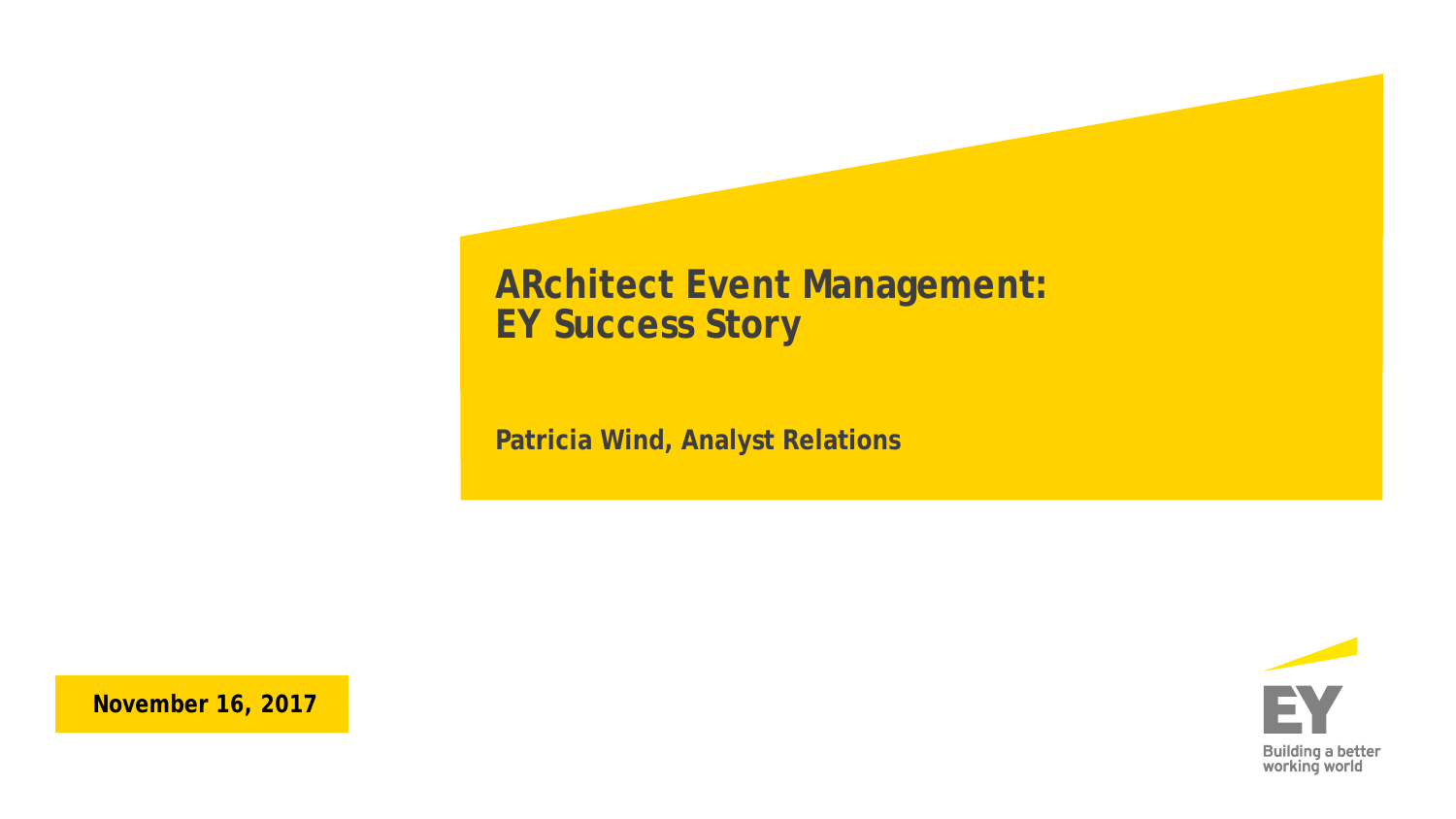### **ARchitect Event Management: EY Success Story**

**Patricia Wind, Analyst Relations**



**November 16, 2017**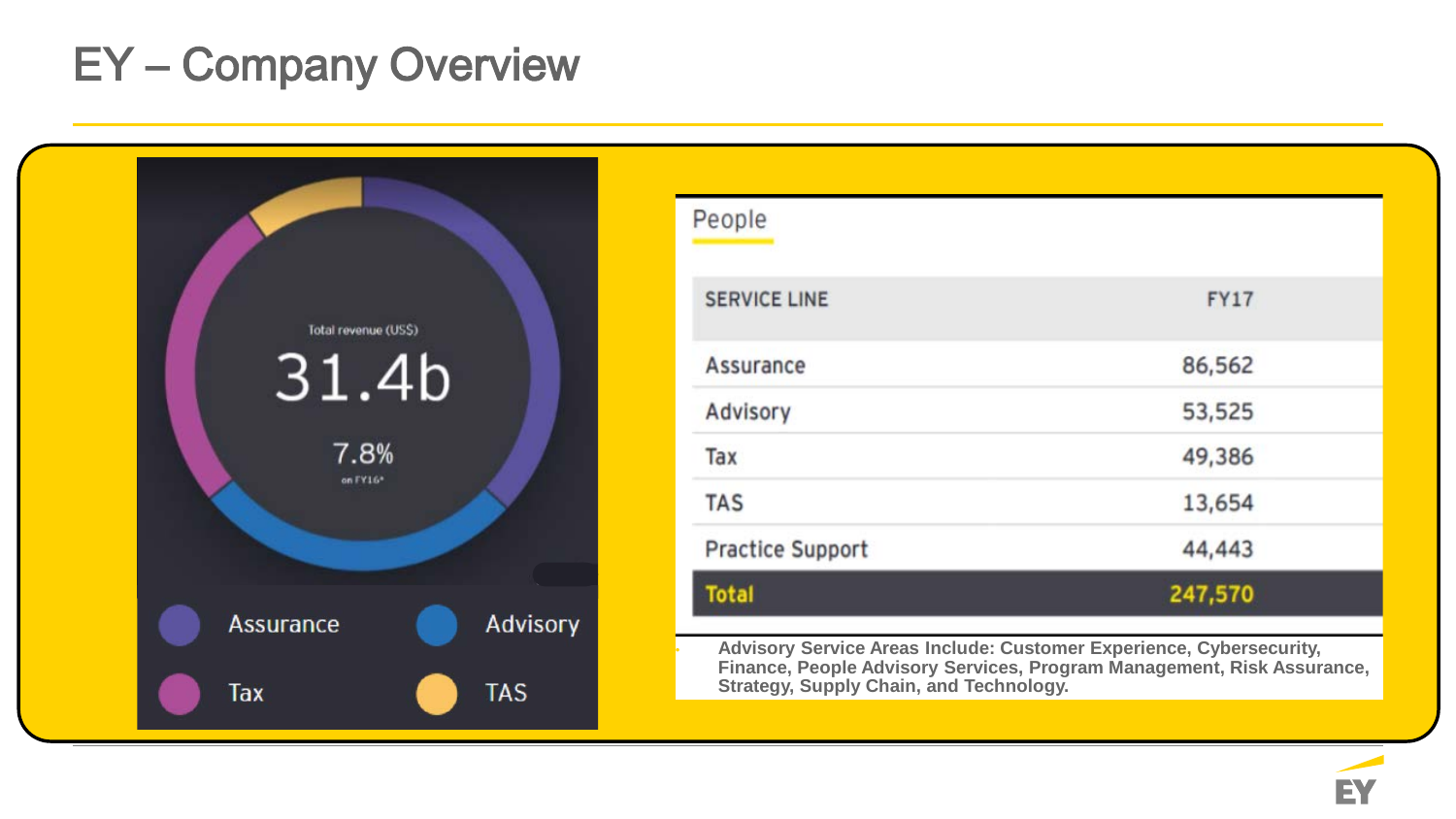## EY – Company Overview



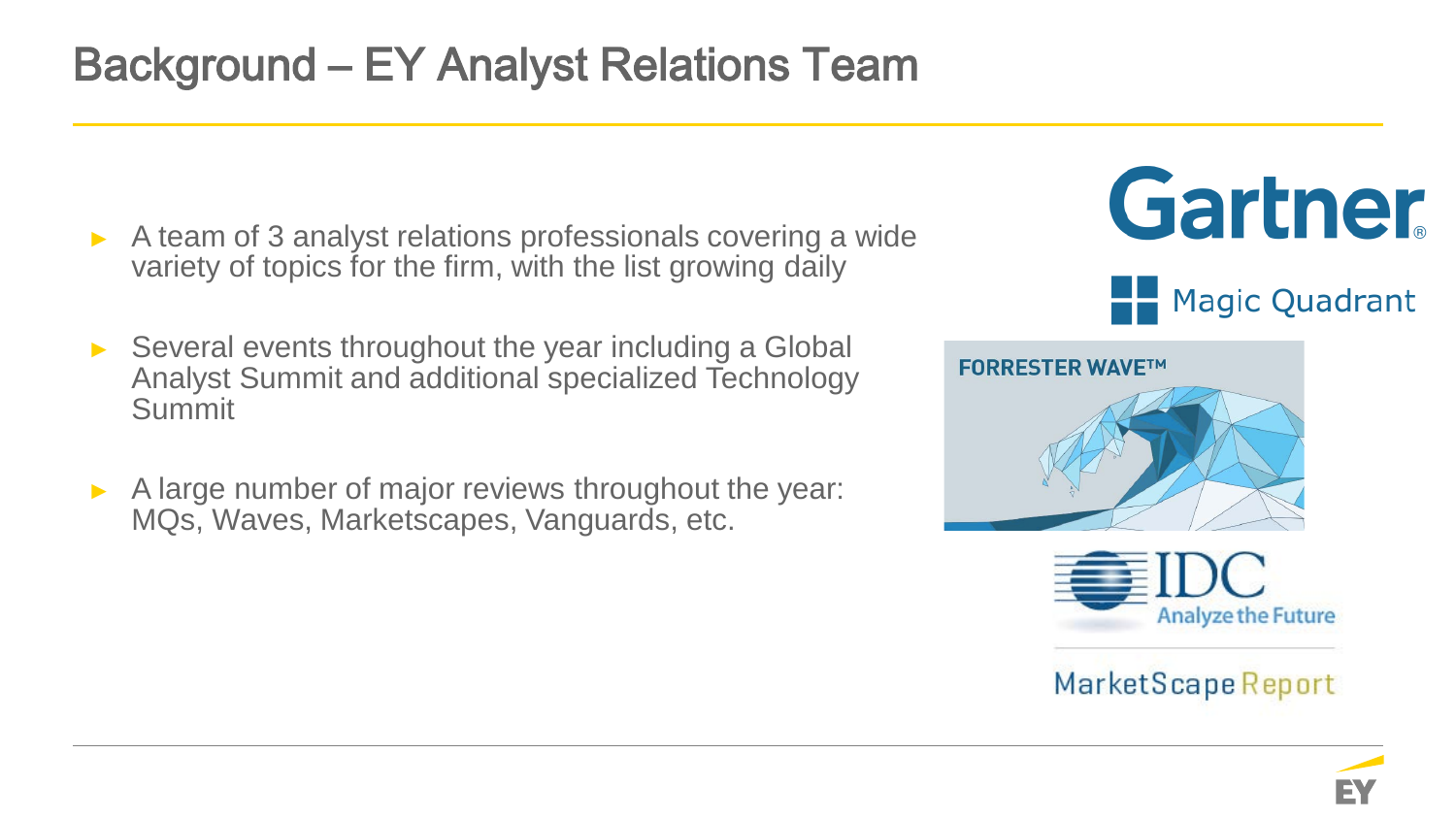## Background – EY Analyst Relations Team

- A team of 3 analyst relations professionals covering a wide variety of topics for the firm, with the list growing daily
- Several events throughout the year including a Global Analyst Summit and additional specialized Technology Summit
- A large number of major reviews throughout the year: MQs, Waves, Marketscapes, Vanguards, etc.





MarketScape Report

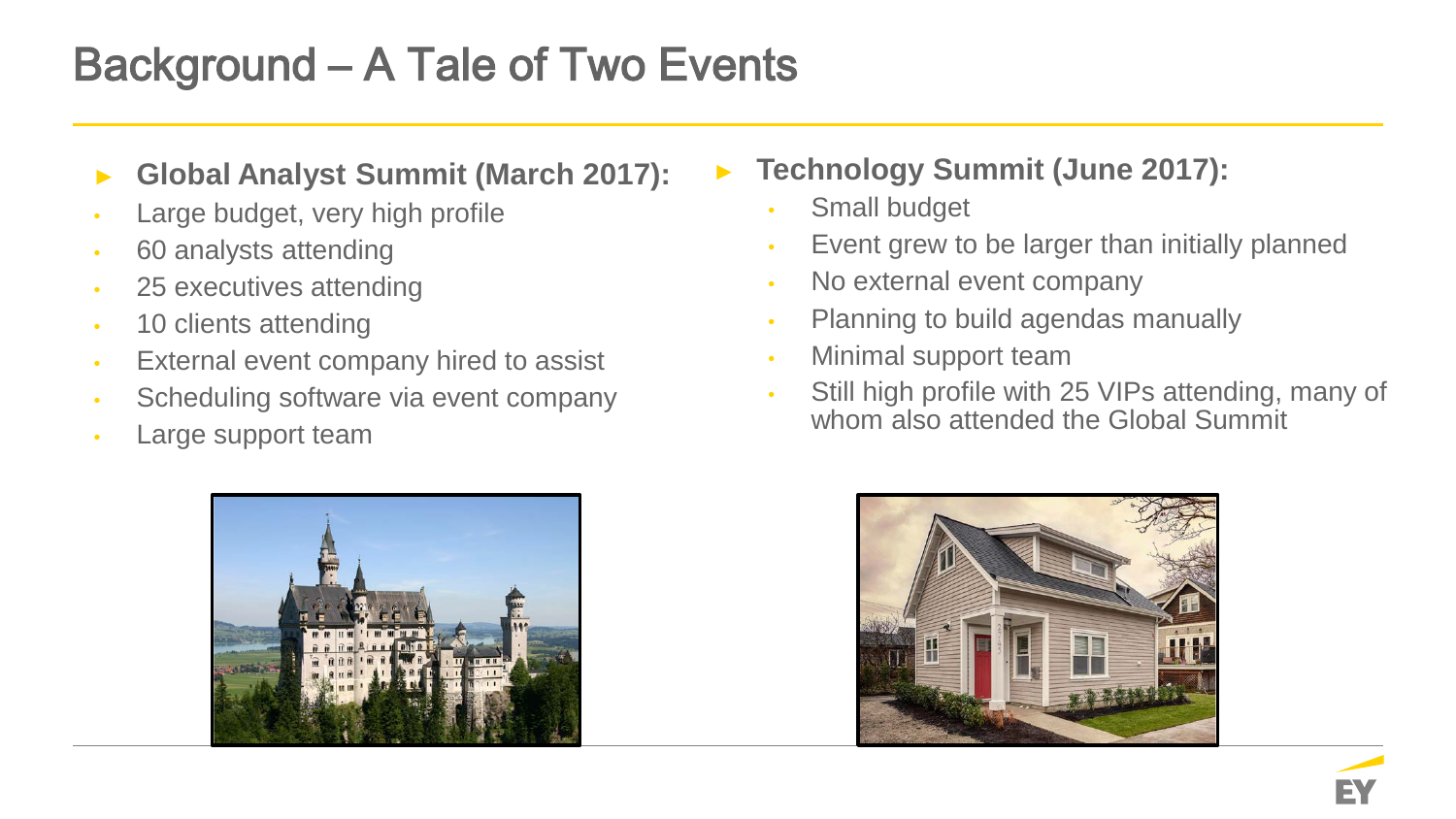## Background – A Tale of Two Events

- ► **Global Analyst Summit (March 2017):**
- Large budget, very high profile
- 60 analysts attending
- 25 executives attending
- 10 clients attending
- External event company hired to assist
- Scheduling software via event company
- Large support team



► **Technology Summit (June 2017):**

- Small budget
- Event grew to be larger than initially planned
- No external event company
- Planning to build agendas manually
- Minimal support team
- Still high profile with 25 VIPs attending, many of whom also attended the Global Summit

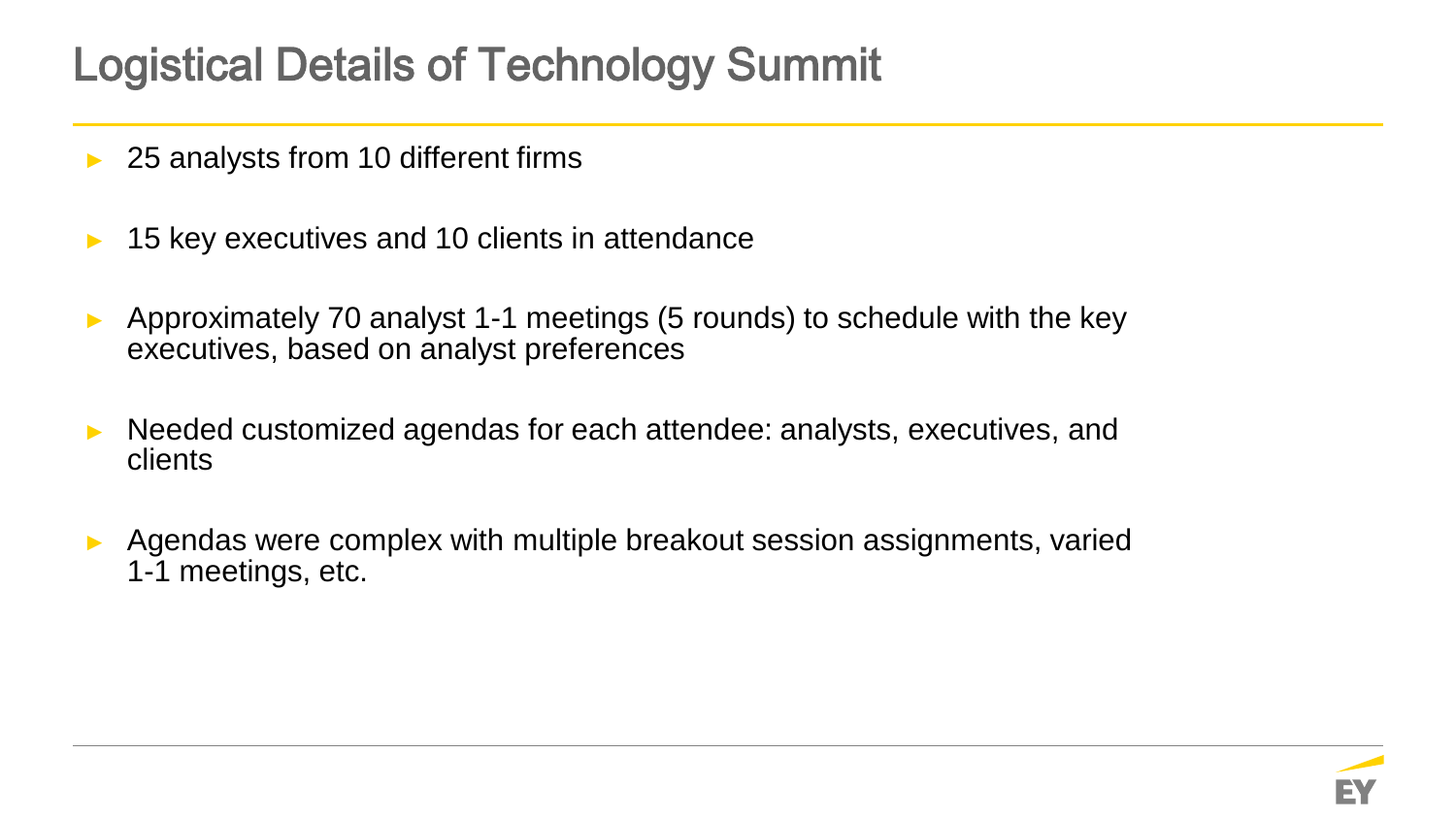## Logistical Details of Technology Summit

- 25 analysts from 10 different firms
- ► 15 key executives and 10 clients in attendance
- ► Approximately 70 analyst 1-1 meetings (5 rounds) to schedule with the key executives, based on analyst preferences
- ► Needed customized agendas for each attendee: analysts, executives, and clients
- Agendas were complex with multiple breakout session assignments, varied 1-1 meetings, etc.

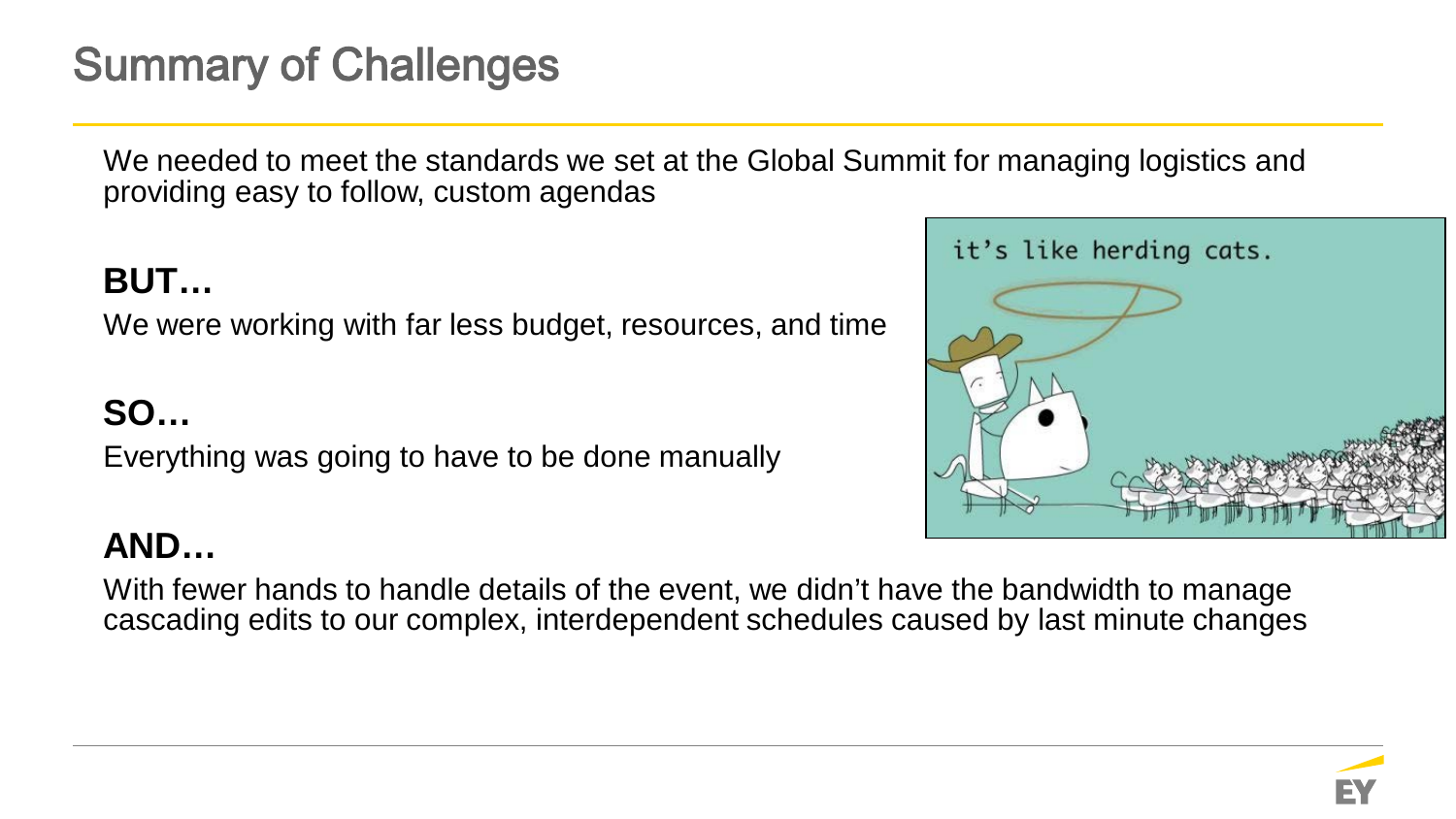## Summary of Challenges

We needed to meet the standards we set at the Global Summit for managing logistics and providing easy to follow, custom agendas

### **BUT…**

We were working with far less budget, resources, and time

### **SO…**

Everything was going to have to be done manually

### **AND…**

With fewer hands to handle details of the event, we didn't have the bandwidth to manage cascading edits to our complex, interdependent schedules caused by last minute changes

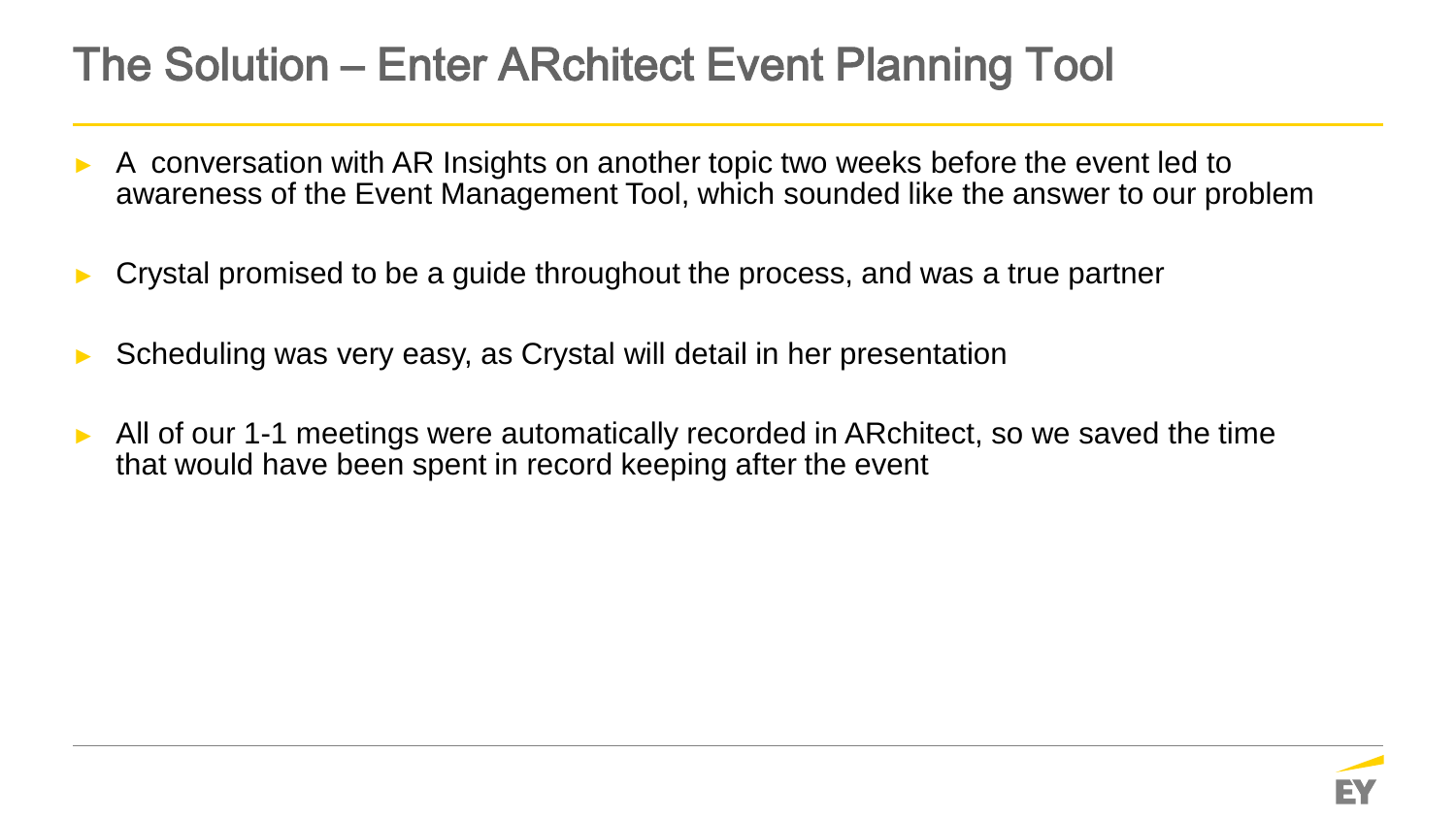## The Solution – Enter ARchitect Event Planning Tool

- A conversation with AR Insights on another topic two weeks before the event led to awareness of the Event Management Tool, which sounded like the answer to our problem
- Crystal promised to be a guide throughout the process, and was a true partner
- Scheduling was very easy, as Crystal will detail in her presentation
- All of our 1-1 meetings were automatically recorded in ARchitect, so we saved the time that would have been spent in record keeping after the event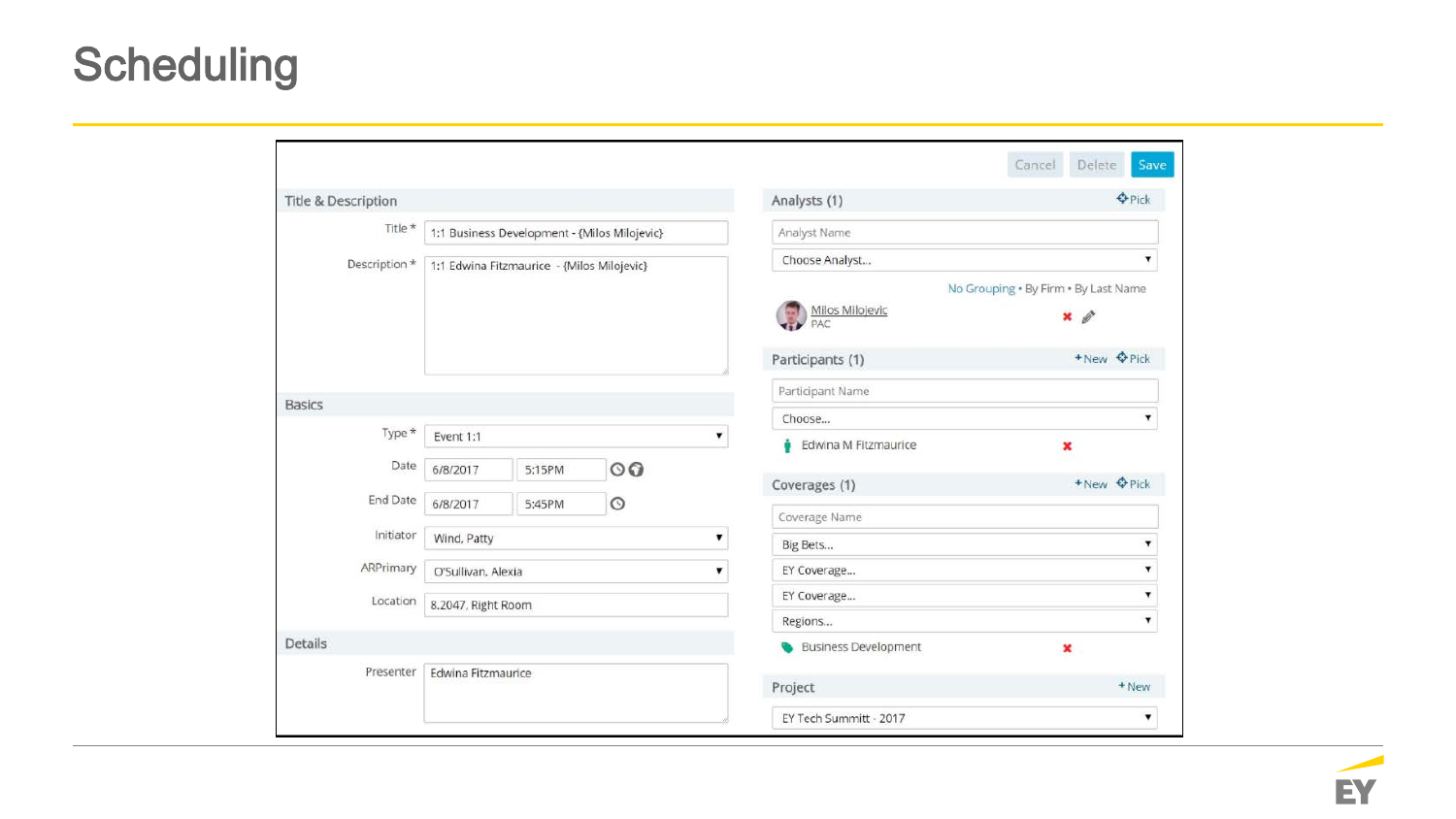## **Scheduling**

| Title & Description |                         |                                              |                      | Analysts (1) | <b>O</b> Pick                          |                         |  |  |
|---------------------|-------------------------|----------------------------------------------|----------------------|--------------|----------------------------------------|-------------------------|--|--|
| Title *             |                         | 1:1 Business Development - {Milos Milojevic} |                      |              | Analyst Name                           |                         |  |  |
| Description *       |                         | 1:1 Edwina Fitzmaurice - {Milos Milojevic}   |                      |              | Choose Analyst                         | $\mathbf v$             |  |  |
|                     |                         |                                              |                      |              | No Grouping . By Firm . By Last Name   |                         |  |  |
|                     |                         |                                              |                      |              | Milos Milojevic<br>PAC<br>$\mathbf{G}$ | $\mathscr{Q}$<br>×      |  |  |
|                     |                         |                                              |                      |              | Participants (1)                       | +New <b>O</b> Pick      |  |  |
|                     |                         |                                              |                      |              | Participant Name                       |                         |  |  |
| <b>Basics</b>       |                         |                                              |                      |              | Choose                                 | $\blacktriangledown$    |  |  |
| Type *              | Event 1:1<br>7          |                                              | Edwina M Fitzmaurice | ×            |                                        |                         |  |  |
| Date                | 6/8/2017                | 5:15PM                                       | $\circ$              |              |                                        | +New <b>O</b> Pick      |  |  |
| End Date            | 6/8/2017                | 5:45PM                                       | $\circ$              |              | Coverages (1)                          |                         |  |  |
|                     |                         |                                              |                      |              | Coverage Name                          |                         |  |  |
| Initiator           | Wind, Patty<br>۷.       |                                              |                      |              | Big Bets                               | 7                       |  |  |
| ARPrimary           | O'Sullivan, Alexia<br>▼ |                                              |                      |              | EY Coverage                            | ۷                       |  |  |
| Location            | 8.2047, Right Room      |                                              |                      |              | EY Coverage                            | 7                       |  |  |
|                     |                         |                                              |                      |              | Regions                                | 7                       |  |  |
| Details             |                         |                                              |                      |              | <b>Business Development</b><br>ື       | $\mathbf{x}$            |  |  |
| Presenter           | Edwina Fitzmaurice      |                                              |                      |              | Project                                | + New                   |  |  |
|                     |                         |                                              |                      |              | EY Tech Summitt - 2017                 | $\overline{\mathbf{v}}$ |  |  |

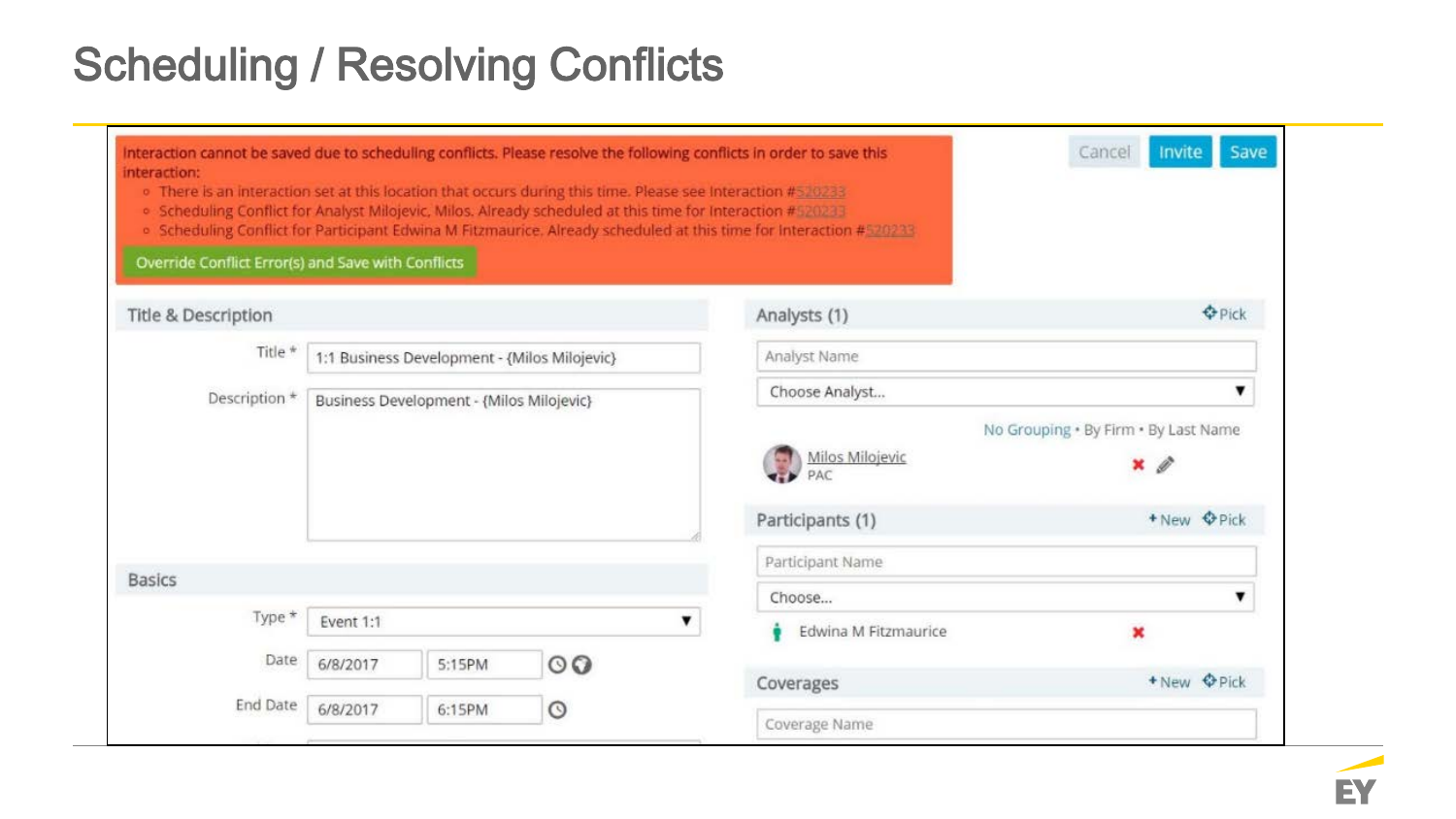## Scheduling / Resolving Conflicts

| interaction:<br>Override Conflict Error(s) and Save with Conflicts |                                              |                        |                                      | o There is an interaction set at this location that occurs during this time. Please see Interaction #520233<br>. Scheduling Conflict for Analyst Milojevic, Milos. Already scheduled at this time for Interaction #520233<br>. Scheduling Conflict for Participant Edwina M Fitzmaurice. Already scheduled at this time for Interaction #520233 |                    |
|--------------------------------------------------------------------|----------------------------------------------|------------------------|--------------------------------------|-------------------------------------------------------------------------------------------------------------------------------------------------------------------------------------------------------------------------------------------------------------------------------------------------------------------------------------------------|--------------------|
| <b>Title &amp; Description</b>                                     |                                              |                        |                                      | Analysts (1)                                                                                                                                                                                                                                                                                                                                    | <b>O</b> Pick      |
| Title *                                                            | 1:1 Business Development - {Milos Milojevic} |                        |                                      | Analyst Name                                                                                                                                                                                                                                                                                                                                    |                    |
| Description *<br>Business Development - {Milos Milojevic}          |                                              |                        |                                      | Choose Analyst                                                                                                                                                                                                                                                                                                                                  | ▼                  |
|                                                                    |                                              | Milos Milojevic<br>PAC | No Grouping . By Firm . By Last Name |                                                                                                                                                                                                                                                                                                                                                 |                    |
|                                                                    |                                              |                        | Participants (1)                     | + New <b>O</b> Pick                                                                                                                                                                                                                                                                                                                             |                    |
| <b>Basics</b>                                                      |                                              |                        |                                      | Participant Name                                                                                                                                                                                                                                                                                                                                |                    |
|                                                                    |                                              |                        |                                      | Choose                                                                                                                                                                                                                                                                                                                                          | ▼                  |
| Type *                                                             | Event 1:1<br>▼                               |                        |                                      | Edwina M Fitzmaurice                                                                                                                                                                                                                                                                                                                            |                    |
| Date                                                               | 6/8/2017                                     | 5:15PM                 | $\circ$                              |                                                                                                                                                                                                                                                                                                                                                 | +New <b>O</b> Pick |
|                                                                    |                                              |                        |                                      | Coverages                                                                                                                                                                                                                                                                                                                                       |                    |

EY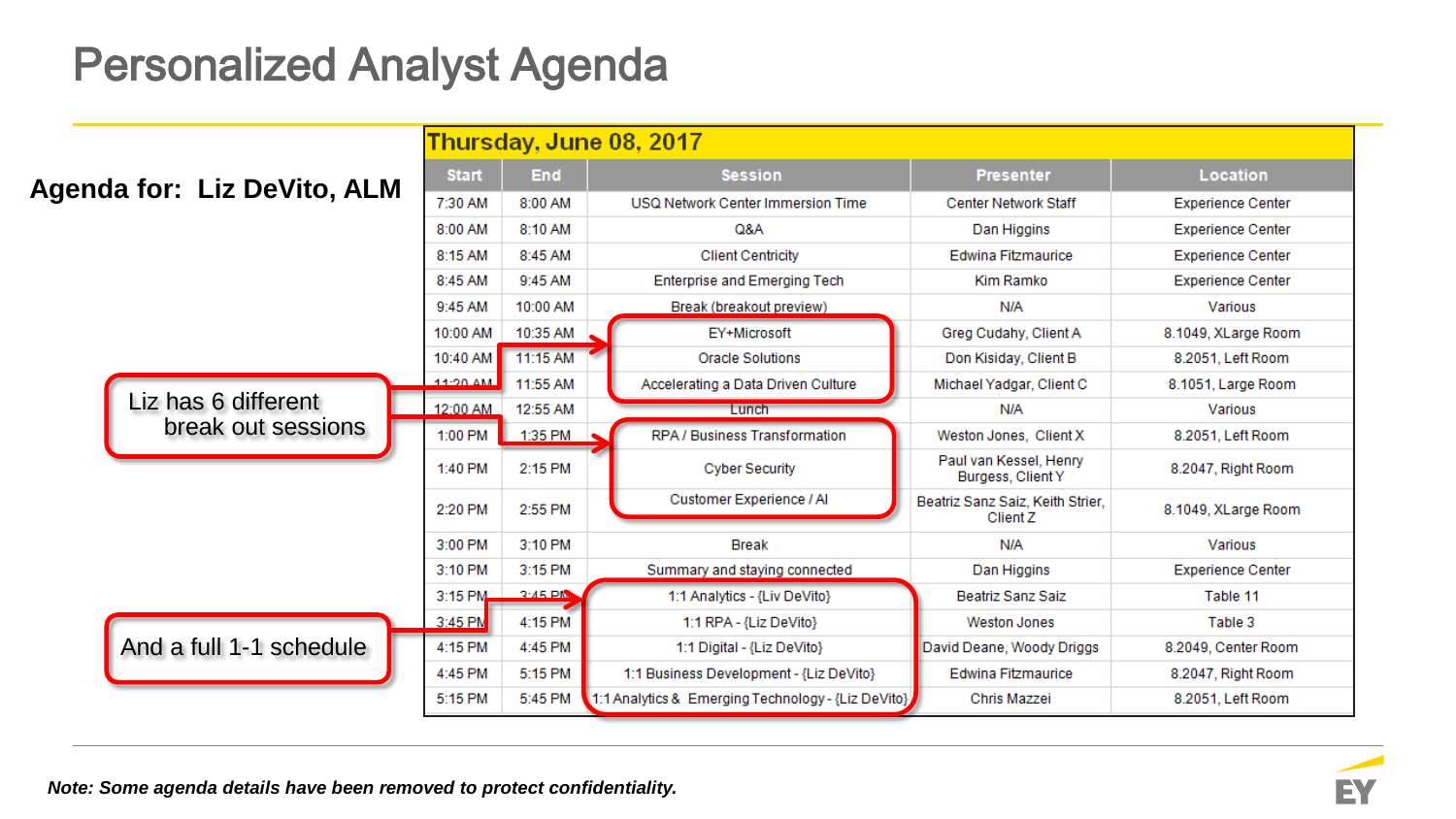## Personalized Analyst Agenda

|                             |                            |                                              | Thursday, June 08, 2017                            |                                              |                          |  |
|-----------------------------|----------------------------|----------------------------------------------|----------------------------------------------------|----------------------------------------------|--------------------------|--|
|                             | <b>Start</b><br><b>End</b> |                                              | <b>Session</b>                                     | <b>Presenter</b>                             | Location                 |  |
| Agenda for: Liz DeVito, ALM | 7:30 AM                    | 8:00 AM<br>USQ Network Center Immersion Time |                                                    | <b>Center Network Staff</b>                  | <b>Experience Center</b> |  |
|                             | 8:00 AM                    | 8:10 AM<br>Q&A                               |                                                    | Dan Higgins                                  | <b>Experience Center</b> |  |
|                             | 8:15 AM                    | 8:45 AM                                      | <b>Client Centricity</b>                           | Edwina Fitzmaurice                           | <b>Experience Center</b> |  |
|                             | 8:45 AM                    | 9:45 AM                                      | <b>Enterprise and Emerging Tech</b>                | Kim Ramko                                    | <b>Experience Center</b> |  |
|                             | 9:45 AM                    | 10:00 AM                                     | Break (breakout preview)                           | N/A                                          | Various                  |  |
|                             | 10:00 AM                   | 10:35 AM                                     | EY+Microsoft                                       | Greg Cudahy, Client A                        | 8.1049, XLarge Room      |  |
|                             | 10:40 AM                   | 11:15 AM                                     | <b>Oracle Solutions</b>                            | Don Kisiday, Client B                        | 8.2051, Left Room        |  |
|                             | 11:20 AM                   | 11:55 AM                                     | Accelerating a Data Driven Culture                 | Michael Yadgar, Client C                     | 8.1051, Large Room       |  |
| Liz has 6 different         | 12:00 AM                   | 12:55 AM                                     | Lunch                                              | N/A                                          | Various                  |  |
| break out sessions          | 1:00 PM                    | 1:35 PM                                      | RPA / Business Transformation                      | Weston Jones, Client X                       | 8.2051, Left Room        |  |
|                             | 1:40 PM                    | 2:15 PM                                      | <b>Cyber Security</b>                              | Paul van Kessel, Henry<br>Burgess, Client Y  | 8.2047, Right Room       |  |
|                             | 2:20 PM                    | 2:55 PM                                      | Customer Experience / Al                           | Beatriz Sanz Saiz, Keith Strier,<br>Client Z | 8.1049, XLarge Room      |  |
|                             | 3:00 PM                    | 3:10 PM                                      | <b>Break</b>                                       | N/A                                          | Various                  |  |
|                             | 3:10 PM                    | 3:15 PM                                      | Summary and staying connected                      | Dan Higgins                                  | <b>Experience Center</b> |  |
|                             | 3:15 PM                    | $2.45\text{ }Pb$                             | 1:1 Analytics - {Liv DeVito}                       | Beatriz Sanz Saiz                            | Table 11                 |  |
|                             | 3:45 PM                    | 4:15 PM                                      | 1:1 RPA - {Liz DeVito}                             | <b>Weston Jones</b>                          | Table 3                  |  |
| And a full 1-1 schedule     | 4:15 PM                    | 4:45 PM                                      | 1:1 Digital - {Liz DeVito}                         | David Deane, Woody Driggs                    | 8.2049, Center Room      |  |
|                             | 4:45 PM                    | 5:15 PM                                      | 1:1 Business Development - {Liz DeVito}            | Edwina Fitzmaurice                           | 8.2047, Right Room       |  |
|                             | 5:15 PM                    | 5:45 PM                                      | 1:1 Analytics & Emerging Technology - {Liz DeVito} | Chris Mazzei                                 | 8.2051, Left Room        |  |

*Note: Some agenda details have been removed to protect confidentiality.* 

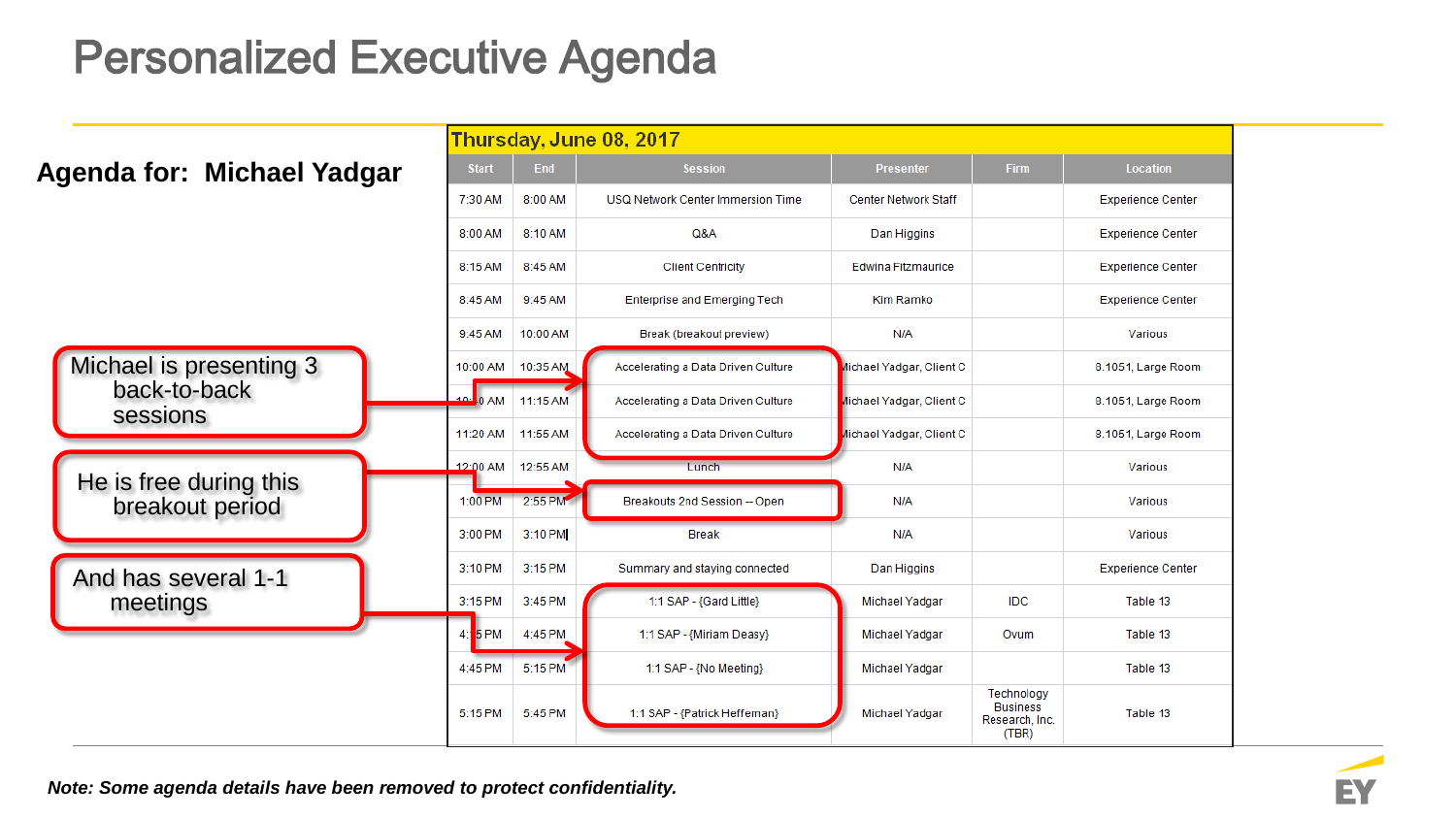## Personalized Executive Agenda

|                                           |                   |               | Thursday, June 08, 2017             |                             |                                                          |                          |
|-------------------------------------------|-------------------|---------------|-------------------------------------|-----------------------------|----------------------------------------------------------|--------------------------|
| Agenda for: Michael Yadgar                | <b>Start</b>      | End           | <b>Session</b>                      | <b>Presenter</b>            | <b>Firm</b>                                              | <b>Location</b>          |
|                                           | 7:30 AM           | 8:00 AM       | USQ Network Center Immersion Time   | <b>Center Network Staff</b> |                                                          | <b>Experience Center</b> |
|                                           | 8:00 AM           | 8:10 AM       | Q&A                                 | Dan Higgins                 |                                                          | <b>Experience Center</b> |
|                                           | 8:15 AM           | 8:45 AM       | <b>Client Centricity</b>            | <b>Edwina Fitzmaurice</b>   |                                                          | <b>Experience Center</b> |
|                                           | 8:45 AM           | 9:45 AM       | <b>Enterprise and Emerging Tech</b> | Kim Ramko                   |                                                          | <b>Experience Center</b> |
|                                           | 9:45 AM           | 10:00 AM      | Break (breakout preview)            | N/A                         |                                                          | Various                  |
| Michael is presenting 3                   | 10:00 AM 10:35 AM |               | Accelerating a Data Driven Culture  | lichael Yadgar, Client C    |                                                          | 8.1051, Large Room       |
| back-to-back                              | 40 <sub>1</sub>   | 0 AM 11:15 AM | Accelerating a Data Driven Culture  | lichael Yadgar, Client C    |                                                          | 8.1051, Large Room       |
| <b>sessions</b>                           | 11:20 AM          | 11:55 AM      | Accelerating a Data Driven Culture  | lichael Yadgar, Client C    |                                                          | 8.1051, Large Room       |
|                                           | 12:00 AM 12:55 AM |               | Lunch                               | N/A                         |                                                          | Various                  |
| He is free during this<br>breakout period | 1:00 PM           | 2:55 PM       | Breakouts 2nd Session -- Open       | N/A                         |                                                          | Various                  |
|                                           | 3:00 PM           | 3:10 PM       | <b>Break</b>                        | N/A                         |                                                          | Various                  |
| And has several 1-1                       | 3:10 PM           | 3:15 PM       | Summary and staying connected       | Dan Higgins                 |                                                          | <b>Experience Center</b> |
| meetings                                  | 3:15 PM           | 3:45 PM       | 1:1 SAP - {Gard Little}             | Michael Yadgar              | <b>IDC</b>                                               | Table 13                 |
|                                           | 5 PM<br>4         | 4:45 PM       | 1:1 SAP - {Miriam Deasy}            | Michael Yadgar              | Ovum                                                     | Table 13                 |
|                                           | 4:45 PM           | 5:15 PM       | 1:1 SAP - {No Meeting}              | Michael Yadgar              |                                                          | Table 13                 |
|                                           | 5:15 PM           | 5:45 PM       | 1:1 SAP - {Patrick Heffernan}       | Michael Yadgar              | Technology<br><b>Business</b><br>Research, Inc.<br>(TBR) | Table 13                 |

*Note: Some agenda details have been removed to protect confidentiality.*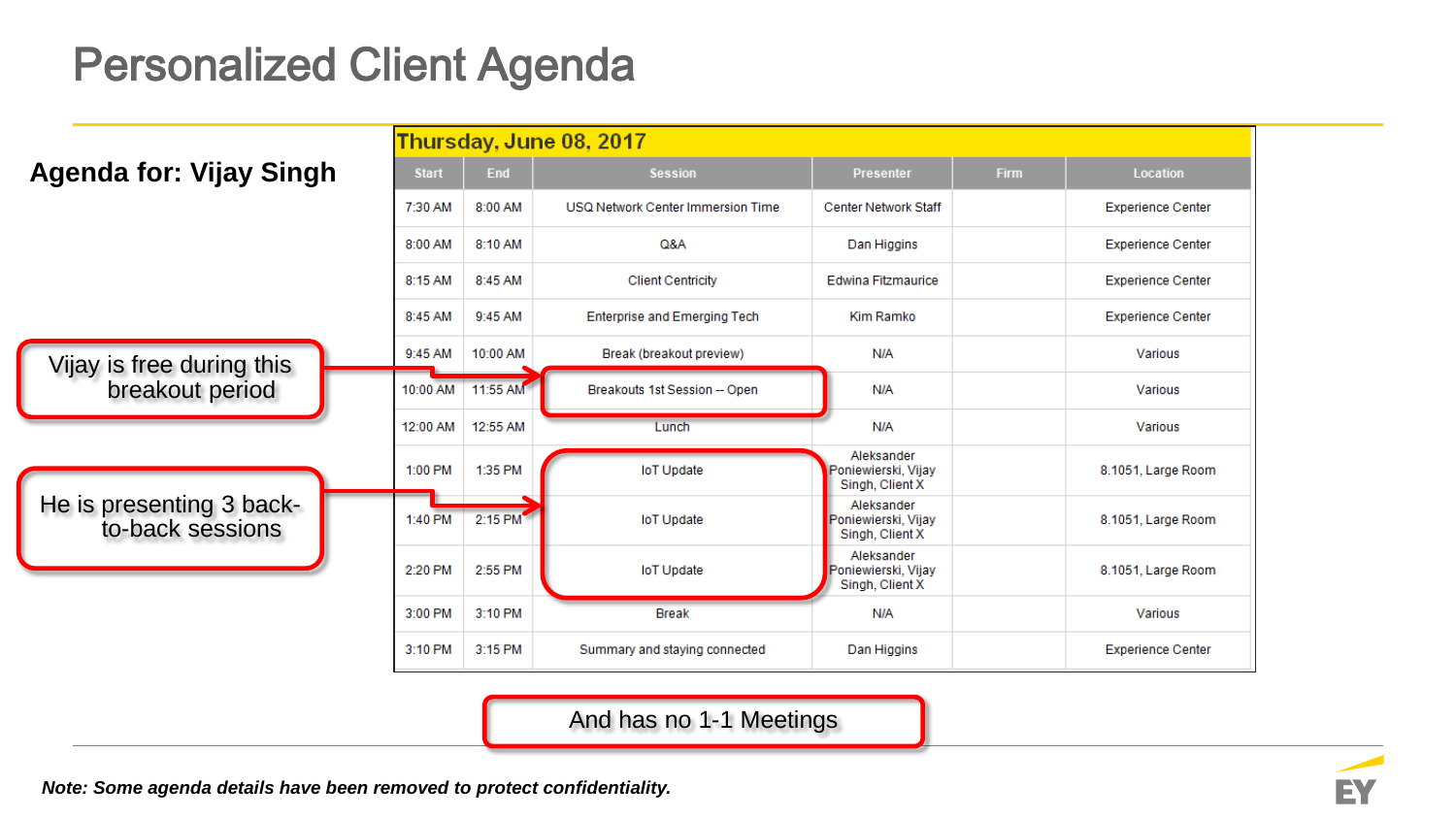## Personalized Client Agenda

|                                              |              |          | <b>Thursday, June 08, 2017</b>      |                                                      |             |                          |
|----------------------------------------------|--------------|----------|-------------------------------------|------------------------------------------------------|-------------|--------------------------|
| <b>Agenda for: Vijay Singh</b>               | <b>Start</b> | End      | <b>Session</b>                      | <b>Presenter</b>                                     | <b>Firm</b> | <b>Location</b>          |
|                                              | 7:30 AM      | 8:00 AM  | USQ Network Center Immersion Time   | <b>Center Network Staff</b>                          |             | <b>Experience Center</b> |
|                                              | 8:00 AM      | 8:10 AM  | Q&A                                 | Dan Higgins                                          |             | <b>Experience Center</b> |
|                                              | 8:15 AM      | 8:45 AM  | <b>Client Centricity</b>            | Edwina Fitzmaurice                                   |             | <b>Experience Center</b> |
|                                              | 8:45 AM      | 9:45 AM  | <b>Enterprise and Emerging Tech</b> | Kim Ramko                                            |             | <b>Experience Center</b> |
| Vijay is free during this                    | 9:45 AM      | 10:00 AM | Break (breakout preview)            | N/A                                                  |             | Various                  |
| breakout period                              | 10:00 AM     | 11:55 AM | Breakouts 1st Session -- Open       | N/A                                                  |             | Various                  |
|                                              | 12:00 AM     | 12:55 AM | Lunch                               | N/A                                                  |             | Various                  |
|                                              | 1:00 PM      | 1:35 PM  | <b>IoT Update</b>                   | Aleksander<br>Poniewierski, Vijay<br>Singh, Client X |             | 8.1051, Large Room       |
| He is presenting 3 back-<br>to-back sessions | 1:40 PM      | 2:15 PM  | <b>IoT Update</b>                   | Aleksander<br>Poniewierski, Vijay<br>Singh, Client X |             | 8.1051, Large Room       |
|                                              | 2:20 PM      | 2:55 PM  | <b>IoT Update</b>                   | Aleksander<br>Poniewierski, Vijay<br>Singh, Client X |             | 8.1051, Large Room       |
|                                              | 3:00 PM      | 3:10 PM  | <b>Break</b>                        | N/A                                                  |             | Various                  |
|                                              | 3:10 PM      | 3:15 PM  | Summary and staying connected       | Dan Higgins                                          |             | <b>Experience Center</b> |

And has no 1-1 Meetings

*Note: Some agenda details have been removed to protect confidentiality.* 

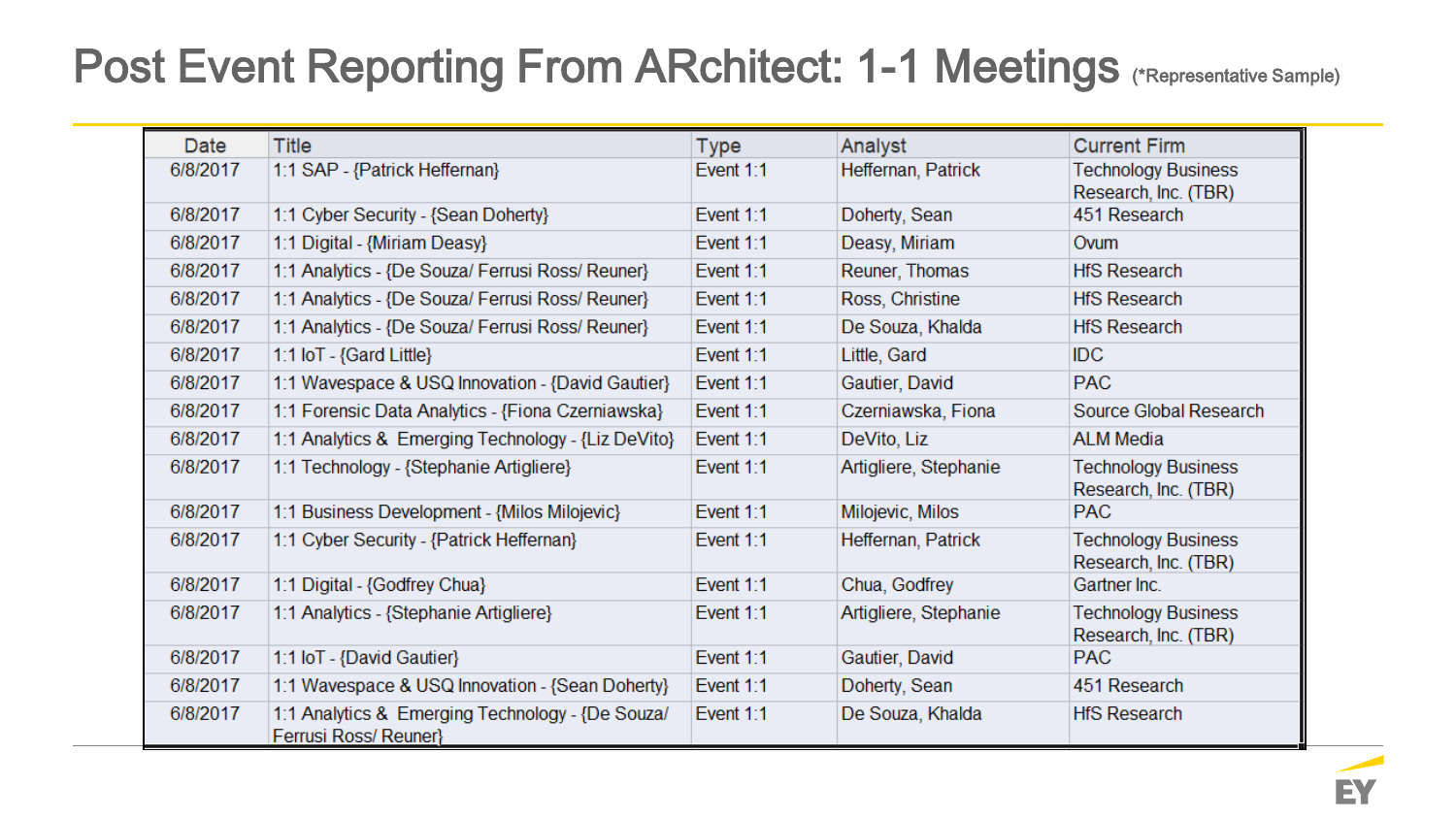## Post Event Reporting From ARchitect: 1-1 Meetings (\*Representative Sample)

| Date     | Title                                                                    | <b>Type</b> | Analyst               | <b>Current Firm</b>                                |
|----------|--------------------------------------------------------------------------|-------------|-----------------------|----------------------------------------------------|
| 6/8/2017 | 1:1 SAP - {Patrick Heffernan}                                            | Event 1:1   | Heffernan, Patrick    | <b>Technology Business</b><br>Research, Inc. (TBR) |
| 6/8/2017 | 1:1 Cyber Security - {Sean Doherty}                                      | Event $1:1$ | Doherty, Sean         | 451 Research                                       |
| 6/8/2017 | 1:1 Digital - {Miriam Deasy}                                             | Event 1:1   | Deasy, Miriam         | Ovum                                               |
| 6/8/2017 | 1:1 Analytics - {De Souza/ Ferrusi Ross/ Reuner}                         | Event 1:1   | Reuner, Thomas        | <b>HfS Research</b>                                |
| 6/8/2017 | 1:1 Analytics - {De Souza/ Ferrusi Ross/ Reuner}                         | Event 1:1   | Ross, Christine       | <b>HfS Research</b>                                |
| 6/8/2017 | 1:1 Analytics - {De Souza/ Ferrusi Ross/ Reuner}                         | Event 1:1   | De Souza, Khalda      | <b>HfS Research</b>                                |
| 6/8/2017 | 1:1 $\overline{OT}$ - {Gard Little}                                      | Event 1:1   | Little, Gard          | <b>IDC</b>                                         |
| 6/8/2017 | 1:1 Wavespace & USQ Innovation - {David Gautier}                         | Event 1:1   | Gautier, David        | <b>PAC</b>                                         |
| 6/8/2017 | 1:1 Forensic Data Analytics - {Fiona Czerniawska}                        | Event 1:1   | Czerniawska, Fiona    | Source Global Research                             |
| 6/8/2017 | 1:1 Analytics & Emerging Technology - {Liz DeVito}                       | Event 1:1   | DeVito, Liz           | <b>ALM Media</b>                                   |
| 6/8/2017 | 1:1 Technology - {Stephanie Artigliere}                                  | Event 1:1   | Artigliere, Stephanie | <b>Technology Business</b><br>Research, Inc. (TBR) |
| 6/8/2017 | 1:1 Business Development - {Milos Milojevic}                             | Event $1:1$ | Milojevic, Milos      | <b>PAC</b>                                         |
| 6/8/2017 | 1:1 Cyber Security - {Patrick Heffernan}                                 | Event 1:1   | Heffernan, Patrick    | <b>Technology Business</b><br>Research, Inc. (TBR) |
| 6/8/2017 | 1:1 Digital - {Godfrey Chua}                                             | Event 1:1   | Chua, Godfrey         | Gartner Inc.                                       |
| 6/8/2017 | 1:1 Analytics - {Stephanie Artigliere}                                   | Event 1:1   | Artigliere, Stephanie | <b>Technology Business</b><br>Research, Inc. (TBR) |
| 6/8/2017 | 1:1 IoT - {David Gautier}                                                | Event 1:1   | Gautier, David        | <b>PAC</b>                                         |
| 6/8/2017 | 1:1 Wavespace & USQ Innovation - {Sean Doherty}                          | Event 1:1   | Doherty, Sean         | 451 Research                                       |
| 6/8/2017 | 1:1 Analytics & Emerging Technology - {De Souza/<br>Ferrusi Ross/Reuner} | Event 1:1   | De Souza, Khalda      | <b>HfS Research</b>                                |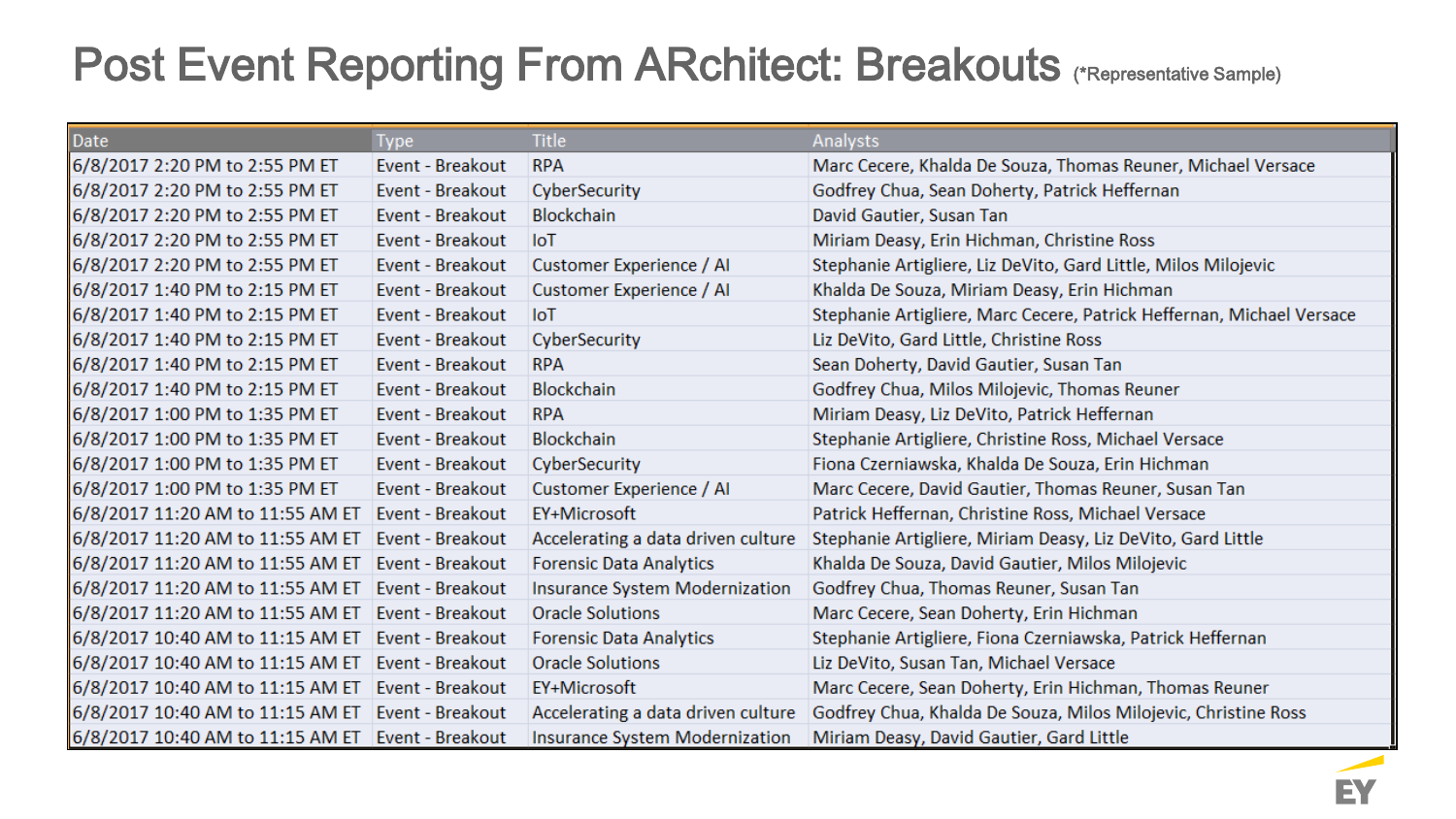## Post Event Reporting From ARchitect: Breakouts (\*Representative Sample)

| Date                                              | <b>Type</b>      | <b>Title</b>                       | <b>Analysts</b>                                                       |
|---------------------------------------------------|------------------|------------------------------------|-----------------------------------------------------------------------|
| 6/8/2017 2:20 PM to 2:55 PM ET                    | Event - Breakout | <b>RPA</b>                         | Marc Cecere, Khalda De Souza, Thomas Reuner, Michael Versace          |
| 6/8/2017 2:20 PM to 2:55 PM ET                    | Event - Breakout | CyberSecurity                      | Godfrey Chua, Sean Doherty, Patrick Heffernan                         |
| 6/8/2017 2:20 PM to 2:55 PM ET                    | Event - Breakout | <b>Blockchain</b>                  | David Gautier, Susan Tan                                              |
| 6/8/2017 2:20 PM to 2:55 PM ET                    | Event - Breakout | <b>IoT</b>                         | Miriam Deasy, Erin Hichman, Christine Ross                            |
| 6/8/2017 2:20 PM to 2:55 PM ET                    | Event - Breakout | Customer Experience / Al           | Stephanie Artigliere, Liz DeVito, Gard Little, Milos Milojevic        |
| 6/8/2017 1:40 PM to 2:15 PM ET                    | Event - Breakout | Customer Experience / Al           | Khalda De Souza, Miriam Deasy, Erin Hichman                           |
| 6/8/2017 1:40 PM to 2:15 PM ET                    | Event - Breakout | <b>IoT</b>                         | Stephanie Artigliere, Marc Cecere, Patrick Heffernan, Michael Versace |
| 6/8/2017 1:40 PM to 2:15 PM ET                    | Event - Breakout | CyberSecurity                      | Liz DeVito, Gard Little, Christine Ross                               |
| 6/8/2017 1:40 PM to 2:15 PM ET                    | Event - Breakout | <b>RPA</b>                         | Sean Doherty, David Gautier, Susan Tan                                |
| 6/8/2017 1:40 PM to 2:15 PM ET                    | Event - Breakout | <b>Blockchain</b>                  | Godfrey Chua, Milos Milojevic, Thomas Reuner                          |
| 6/8/2017 1:00 PM to 1:35 PM ET                    | Event - Breakout | <b>RPA</b>                         | Miriam Deasy, Liz DeVito, Patrick Heffernan                           |
| 6/8/2017 1:00 PM to 1:35 PM ET                    | Event - Breakout | <b>Blockchain</b>                  | Stephanie Artigliere, Christine Ross, Michael Versace                 |
| 6/8/2017 1:00 PM to 1:35 PM ET                    | Event - Breakout | CyberSecurity                      | Fiona Czerniawska, Khalda De Souza, Erin Hichman                      |
| 6/8/2017 1:00 PM to 1:35 PM ET                    | Event - Breakout | Customer Experience / Al           | Marc Cecere, David Gautier, Thomas Reuner, Susan Tan                  |
| 6/8/2017 11:20 AM to 11:55 AM ET                  | Event - Breakout | EY+Microsoft                       | Patrick Heffernan, Christine Ross, Michael Versace                    |
| 6/8/2017 11:20 AM to 11:55 AM ET                  | Event - Breakout | Accelerating a data driven culture | Stephanie Artigliere, Miriam Deasy, Liz DeVito, Gard Little           |
| 6/8/2017 11:20 AM to 11:55 AM ET                  | Event - Breakout | <b>Forensic Data Analytics</b>     | Khalda De Souza, David Gautier, Milos Milojevic                       |
| 6/8/2017 11:20 AM to 11:55 AM ET                  | Event - Breakout | Insurance System Modernization     | Godfrey Chua, Thomas Reuner, Susan Tan                                |
| 6/8/2017 11:20 AM to 11:55 AM ET                  | Event - Breakout | <b>Oracle Solutions</b>            | Marc Cecere, Sean Doherty, Erin Hichman                               |
| 6/8/2017 10:40 AM to 11:15 AM ET                  | Event - Breakout | <b>Forensic Data Analytics</b>     | Stephanie Artigliere, Fiona Czerniawska, Patrick Heffernan            |
| 6/8/2017 10:40 AM to 11:15 AM ET                  | Event - Breakout | <b>Oracle Solutions</b>            | Liz DeVito, Susan Tan, Michael Versace                                |
| 6/8/2017 10:40 AM to 11:15 AM ET                  | Event - Breakout | EY+Microsoft                       | Marc Cecere, Sean Doherty, Erin Hichman, Thomas Reuner                |
| 6/8/2017 10:40 AM to 11:15 AM ET                  | Event - Breakout | Accelerating a data driven culture | Godfrey Chua, Khalda De Souza, Milos Milojevic, Christine Ross        |
| 6/8/2017 10:40 AM to 11:15 AM ET Event - Breakout |                  | Insurance System Modernization     | Miriam Deasy, David Gautier, Gard Little                              |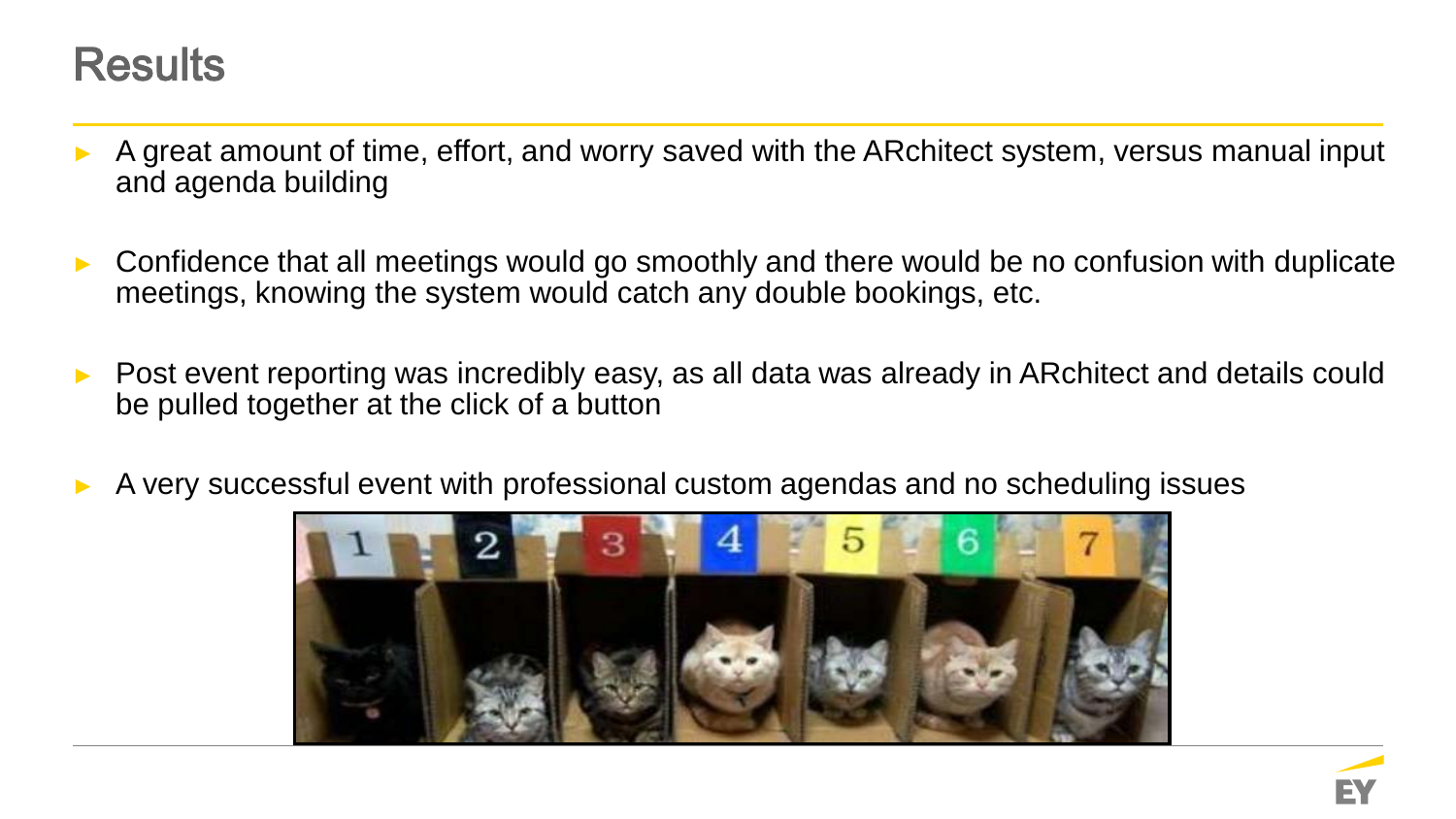### **Results**

- A great amount of time, effort, and worry saved with the ARchitect system, versus manual input and agenda building
- Confidence that all meetings would go smoothly and there would be no confusion with duplicate meetings, knowing the system would catch any double bookings, etc.
- Post event reporting was incredibly easy, as all data was already in ARchitect and details could be pulled together at the click of a button
- A very successful event with professional custom agendas and no scheduling issues